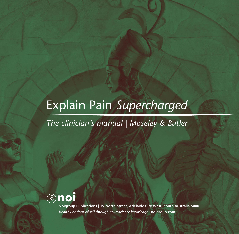# Explain Pain *Supercharged*

*The clinician's manual | Moseley & Butler*



**Noigroup Publications | 19 North Street, Adelaide City West, South Australia 5000** *Healthy notions of self through neuroscience knowledge |* **noigroup.com**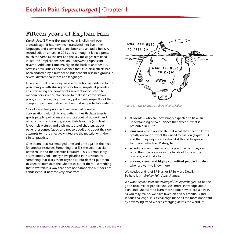## Fifteen years of Explain Pain

*Explain Pain* (EP) was first published in English well over a decade ago. It has now been translated into five other languages and converted to an ebook and an audio book. A second edition arrived in 2013 and although it looked pretty much the same as the first and the key messages remained intact, the 'implications' section underwent a significant revamp. Additions came mainly on the back of another 100 new scientific articles and evidence that its clinical effects had been endorsed by a number of independent research groups in several different countries and languages.

EP was and still is, in many ways a revolutionary addition to the pain library – with striking artwork from Sunyata, it provides an entertaining and somewhat irreverent introduction to modern pain science. We aimed to make it a conversation piece, in some ways lighthearted, yet entirely respectful of the complexity and magnificence of our in-built protective systems.

Since EP was first published, we have had countless conversations with clinicians, patients, health departments, sports people, politicians and artists about what works and what remains a challenge, about their favourite (and least favourite!) pictures and their most useful chapters; about patient responses (good and not so good) and about their own attempts to more effectively integrate the material with their clinical practice.

One theme that has emerged time and time again is the need for another resource. Something that fills the void that sits between EP and the scientific literature. This is, remarkably, a substantial void – many have pleaded in frustration for something that takes them beyond EP but doesn't put them to sleep or intimidate the whoopsies out of them – something that is written in a way that does not bamboozle but does not condescend. It became very clear from:



*Figure 1.1 The clinician's iceberg of knowledge* 

- **• students** who are increasingly expected to have an understanding of pain science that exceeds what is presented in EP, to
- **• clinicians** who appreciate that what they need to know greatly outweighs what they need to pass on (Figure 1.1) and that they require educational skills and language to transfer an effective EP story, to
- **• scientists**  who need a language with which they can bring their science alive in the hands of those at the coalface, and finally to
- **• curious, clever and highly committed people in pain** who just want to know more.

We needed a kind of EP Plus, or EP In More Detail. So here it is... *Explain Pain Supercharged.*

We want *Explain Pain Supercharged (EP Supercharged)* to be the go-to resource for people who seek more knowledge about pain, and who want to learn more about how to Explain Pain. As you may realise, we have taken on a very ambitious and serious challenge. It is a challenge made all the more important by a worrying trend we see emerging across the world, of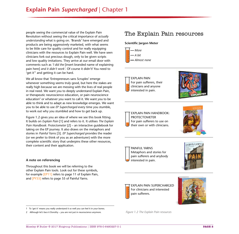people seeing the commercial value of the Explain Pain Revolution without seeing the critical importance of *actually understanding* what is going on. 'Brands' have emerged and products are being aggressively marketed, with what seems to be little care for quality control and for really equipping clinicians with the resources to Explain Pain well. We have seen clinicians fork out precious dough, only to be given scripts and low quality imitations. They arrive at our email door with comments such as *'I did the* [insert branded name of explaining pain here] *and it didn't work'*. Of course it didn't! You need to 'get it<sup>'1</sup> and getting it can be hard.

We all know that 'Entrepreneurs sans Scruples' emerge whenever something seems truly good, but here the stakes are really high because we are messing with the lives of real people in real need. We want you to deeply understand Explain Pain, or therapeutic neuroscience education, or pain neuroscience education<sup>2</sup> or whatever you want to call it. We want you to be able to think and to adapt as new knowledge emerges. We want you to be able to use *EP Supercharged* every time you stumble, to work out why you stumbled and how to get back up.

Figure 1.2 gives you an idea of where we see this book fitting. It builds on *Explain Pain* [1] and refers to it. It utilises *The Explain Pain Handbook: Protectometer* [2] – an interactive guidebook for taking on the EP journey. It also draws on the metaphors and stories in *Painful Yarns* [3]. *EP Supercharged* provides the reader (or we prefer to think of you as an adventurer) with the more complete scientific story that underpins these other resources, their content and their application.

#### **A note on referencing**

Throughout this book we will be referring to the other Explain Pain tools. Look out for these symbols, for example [EP11] refers to page 11 of Explain Pain, and [PY55] refers to page 55 of Painful Yarns.

1 To 'get it' means you really understand it so well you can feel it in your bones.

2 Although let's face it Dorothy – you are not just in neuroscience anymore.

## The Explain Pain resources

**Scientific Jargon Meter**







EXPLAIN PAIN HANDBOOK: PROTECTOMETER For pain sufferers to use on their own or with clinicians.



PAINFUL YARNS Metaphors and stories for pain sufferers and anybody interested in pain.



EXPLAIN PAIN SUPERCHARGED For clinicians and interested pain sufferers.



*Figure 1.2 The Explain Pain resources*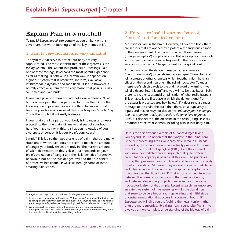## Explain Pain in a nutshell

To put *EP Supercharged* into context as you embark on this adventure, it is worth iterating six of the key themes in EP.

#### 1. Pain is very normal and very amazing

The systems that serve to protect our body are very sophisticated. The most sophisticated of these systems is the *feeling* system – the system that produces our feelings. Pain,<sup>3</sup> one of these feelings, is perhaps the most potent experience as far as making us behave in a certain way. It depends on a glorious system that is predictive, intuitive, evaluative, infinitomodal,<sup>4</sup> dynamic and modifiable. It is also however, a brutally effective system for the very reason that pain is usually so unpleasant. Pain hurts!

If you have pain right now you are not alone – about 20% of humans have pain that has persisted for more than 3 months. For everyone in pain we can say one thing for sure – it hurts because your brain is convinced that *your body needs protecting.* This is the simple bit – it really is simple.

If your brain thinks a part of your body is in danger and needs protecting, then the brain will make that part of your body hurt. You have no say in this. It is happening outside of your awareness or control. It is your brain's conviction.<sup>5</sup>

Simple? This is also the *huge* challenge of pain – there are many situations in which pain does not seem to match the amount of danger your body tissues are truly in. The massive amount of scientific research on this is clear – pain depends on your brain's evaluation of danger and the likely benefit of protective behaviour, not on the true danger level and the true benefit of protective behaviour. EP walks us through some of these amazing pain stories.

#### 2. Nerves are loaded with mechanical, thermal and chemical sensors

Most sensors are in the brain. However, all over the body there are sensors that are opened by a potentially dangerous change in their environment. The nerves on which these sensors ('danger receptors') are placed are called nociceptors. If enough sensors are opened a signal is triggered in the nociceptor and an alarm signal saying 'danger' is sent to the spinal cord.

At the spinal cord the danger message causes chemicals ('neurotransmitters') to be released at a synapse. These chemicals join a gaggle of other chemicals which together might have an effect on the second neurone – the spinal nociceptor ('danger messenger') which travels to the brain. A word of warning – we will dig deeper into this stuff and you will realise that Explain Pain presents a rather substantial simplification of what really happens. This synapse is the first place at which the danger signal from the tissues is processed (see box below). If it does send a danger message to the brain, the brain then draws on a huge array of inputs and may or may not decide '*yes, this body part is in danger and this organism* (that's you) *needs to do something to protect itself'*. If it decides this, the orchestra in the brain (using EP speak) produces protective responses, including pain in that body part.

Here is the first obvious example of *EP Supercharged* taking you beyond EP. The notion that the synapse in the spinal cord is the first processing site as we clearly articulated in EP needs expanding. Incoming messages are actually processed to some extent in the dorsal root ganglion (DRG). Here they interact with immune-mediated processing such that quite profound computational capacity is possible at this level. The principles driving that processing are complicated and beyond our capacity to fully understand. Moreover, they are not as clearly predictable and intuitive as events occurring at the spinal nociceptor, which is why we told that little fib in EP. That is not all – the interaction between the primary nociceptor and the spinal nociceptor, and between descending projection neurones and the spinal nociceptor is also not that simple. Recent research has uncovered an extensive system of interneurones within the dorsal horn that seem to be very important in generating that initial stage of central sensitisation that occurs in a couple of hours. *EP Supercharged* will give you the 'behind the news' version rather than the more superficial 'breaking news' sound bite. We aim to give you a more complete understanding of the biology of pain.

<sup>3</sup> Anger and lust might also be considered for the gold medals here.

<sup>4</sup> Infinitomodal is a word we just made up. We had written 'multimodal' but that seems to downplay the reality that pain can be influenced by anything really, so long as it has some danger or safety relevance (keep reading), so infinitomodal seemed more fitting.

<sup>5</sup> We are not really as brain-centric as this sounds and we clarify our language throughout the book. That we can attribute this to your brain is a simplification, but it is a passable simplification at this stage. Hang in there...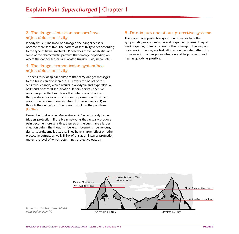#### 3. The danger detection sensors have adjustable sensitivity

If body tissue is inflamed or damaged the danger sensors become more sensitive. The pattern of sensitivity varies according to the type of tissue involved. EP describes these variabilities and some of the characteristic patterns that emerge depending on where the danger sensors are located (muscle, skin, nerve, etc).

#### 4. The danger transmission system has adjustable sensitivity

The sensitivity of spinal neurones that carry danger messages to the brain can also increase. EP covers the basics of this sensitivity change, which results in allodynia and hyperalgesia, hallmarks of central sensitisation. If pain persists, then we see changes in the brain too – the networks of brain cells that produce pain – or an immune response or a movement response – become more sensitive. It is, as we say in EP, as though the orchestra in the brain is stuck on the pain tune [EP78-79].

Remember that *any credible evidence of danger* to body tissue triggers protection. If the brain networks that actually produce pain become more sensitive, then *all* of the cues have a larger effect on pain – the thoughts, beliefs, movements, behaviours, sights, sounds, smells etc. etc. They have a larger effect on other protective outputs as well. Think of this as an internal protection meter, the level of which determines protective outputs.

#### 5. Pain is just one of our protective systems

There are many protective systems – others include the sympathetic, motor, immune and cognitive systems. They all work together, influencing each other, changing the way our body works, the way we feel, all in an orchestrated attempt to move us out of a dangerous situation and help us learn and heal as quickly as possible.



*Figure 1.3 The Twin Peaks Model from Explain Pain [1]*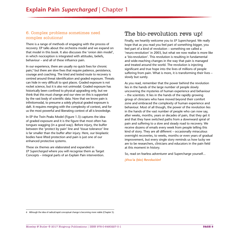#### 6. Complex problems sometimes need complex solutions!

There is a range of methods of engaging with the process of recovery. EP talks about the orchestra model and we expand on that model in this book. It also discusses the 'onion skin model', in which nociception is integrated with attitudes, beliefs, behaviour – and all of these influence pain.

In our experience, there are usually no quick fixes for chronic pain,<sup>6</sup> but there are slow fixes that require patience, persistence, courage and coaching. The tried and tested route to recovery is centred around threat identification and graded exposure. Threats can hide in very difficult to spot places. Graded exposure is not rocket science, but it is also not unimodal. Graded exposure has historically been confined to physical upgrading only, but we think that this must change and our view on this is supported by the vast body of scientific data. Now that we know pain is infinitomodal, to presume a solely physical graded exposure is daft. It requires merging with the complexity of context, and for us the most powerful and liberating context of all is knowledge.

In EP the Twin Peaks Model (Figure 1.3) captures the idea of graded exposure and it is the figure that most often has tongues wagging (in a good way). Before injury, the buffer between the 'protect by pain' line and 'tissue tolerance' line is far smaller than the buffer after injury. Here, our bioplastic bodies have lifted protection and pain is just one of our enhanced protective systems.

These six themes are elaborated and expanded in *EP Supercharged* where you will recognise them as Target Concepts – integral parts of an Explain Pain intervention.

## The bio-revolution revs up!

Finally, we heartily welcome you to *EP Supercharged*. We really hope that as you read you feel part of something bigger, you feel part of a kind of revolution – something we called a 'neuro-revolution' in 2003, but what we now realise is more like a '*bio*-revolution'. This revolution is resulting in fundamental and wide-reaching changes in the way that pain is managed and treated around the world. The revolution is injecting significant and true hope into the lives of millions of people suffering from pain. What is more, it is transforming their lives – slowly but surely.

As you read, remember that the power behind the revolution lies in the hands of the large number of people slowly uncovering the mysteries of human experience and behaviour – the scientists. It lies in the hands of the rapidly growing group of clinicians who have moved beyond their comfort zone and embraced the complexity of human experience and behaviour. Most of all though, the power of the revolution lies in the hands of the vast number of people who can now say, after weeks, months, years or decades of pain, that they get it and that they have switched paths from a downward spiral of pain and suffering to a slow and steady road to recovery. We receive dozens of emails every week from people telling this kind of story. They are all different – occasionally miraculous overnight recoveries, to weeks, months or even years of gradual improvement, but every single story reminds us how lucky we are to be researchers, clinicians and educators in the pain field at this moment in history.

So, read on fearless adventurer and Supercharge yourself...

**¡Viva la (bio) Revolución!** 

<sup>6</sup> Although the idea of radical/rapid conceptual change is becoming more viable (Chapter 5).